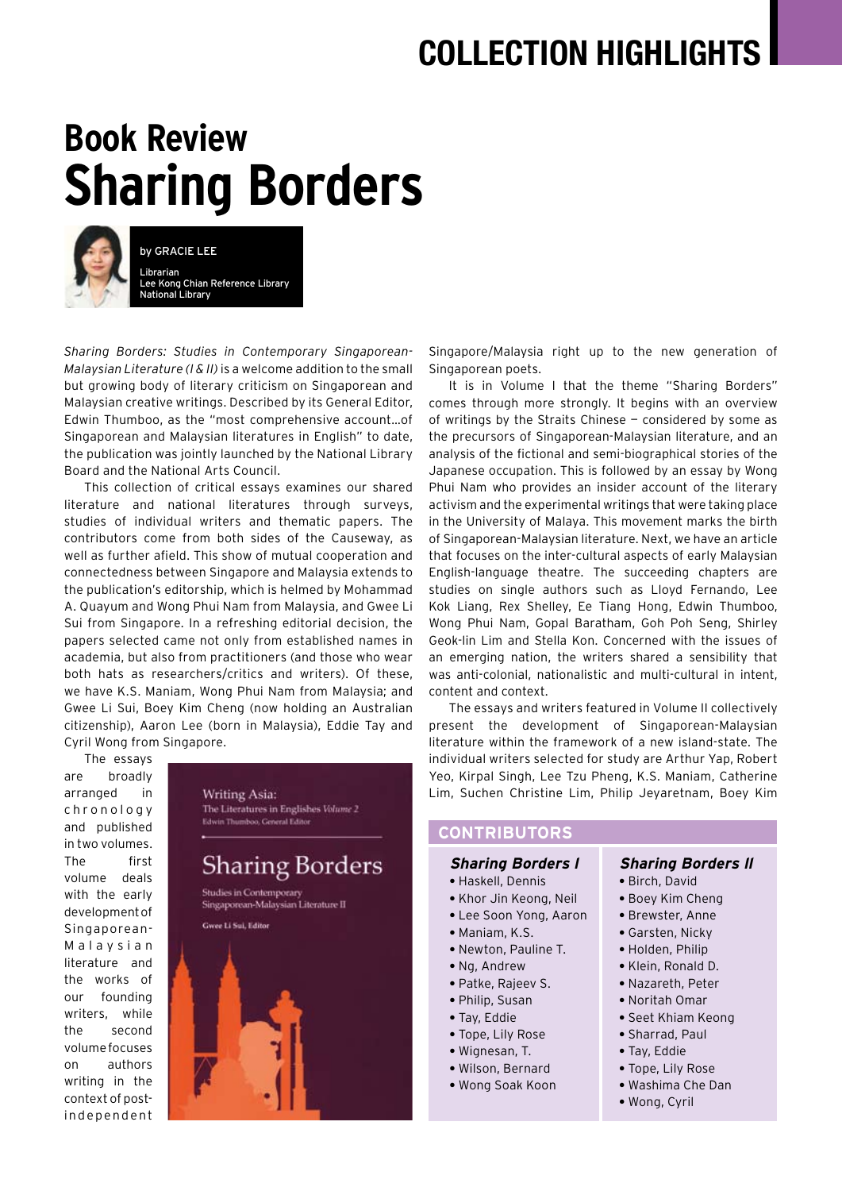## **COLLECTION HIGHLIGHTS**

# **Book Review Sharing Borders**



by GRACIE LEE Librarian Lee Kong Chian Reference Library National Library

*Sharing Borders: Studies in Contemporary Singaporean-Malaysian Literature (I & II)* is a welcome addition to the small but growing body of literary criticism on Singaporean and Malaysian creative writings. Described by its General Editor, Edwin Thumboo, as the "most comprehensive account…of Singaporean and Malaysian literatures in English" to date, the publication was jointly launched by the National Library Board and the National Arts Council.

This collection of critical essays examines our shared literature and national literatures through surveys, studies of individual writers and thematic papers. The contributors come from both sides of the Causeway, as well as further afield. This show of mutual cooperation and connectedness between Singapore and Malaysia extends to the publication's editorship, which is helmed by Mohammad A. Quayum and Wong Phui Nam from Malaysia, and Gwee Li Sui from Singapore. In a refreshing editorial decision, the papers selected came not only from established names in academia, but also from practitioners (and those who wear both hats as researchers/critics and writers). Of these, we have K.S. Maniam, Wong Phui Nam from Malaysia; and Gwee Li Sui, Boey Kim Cheng (now holding an Australian citizenship), Aaron Lee (born in Malaysia), Eddie Tay and Cyril Wong from Singapore.

The essays are broadly arranged in c h r o n o l o g y and published in two volumes. The first volume deals with the early development of Singaporean-Malaysian literature and the works of our founding writers, while the second volume focuses on authors writing in the context of postindependent



Singapore/Malaysia right up to the new generation of Singaporean poets.

It is in Volume I that the theme "Sharing Borders" comes through more strongly. It begins with an overview of writings by the Straits Chinese — considered by some as the precursors of Singaporean-Malaysian literature, and an analysis of the fictional and semi-biographical stories of the Japanese occupation. This is followed by an essay by Wong Phui Nam who provides an insider account of the literary activism and the experimental writings that were taking place in the University of Malaya. This movement marks the birth of Singaporean-Malaysian literature. Next, we have an article that focuses on the inter-cultural aspects of early Malaysian English-language theatre. The succeeding chapters are studies on single authors such as Lloyd Fernando, Lee Kok Liang, Rex Shelley, Ee Tiang Hong, Edwin Thumboo, Wong Phui Nam, Gopal Baratham, Goh Poh Seng, Shirley Geok-lin Lim and Stella Kon. Concerned with the issues of an emerging nation, the writers shared a sensibility that was anti-colonial, nationalistic and multi-cultural in intent, content and context.

The essays and writers featured in Volume II collectively present the development of Singaporean-Malaysian literature within the framework of a new island-state. The individual writers selected for study are Arthur Yap, Robert Yeo, Kirpal Singh, Lee Tzu Pheng, K.S. Maniam, Catherine Lim, Suchen Christine Lim, Philip Jeyaretnam, Boey Kim

### **contributors**

#### **Sharing Borders l**

- Haskell, Dennis
- Khor Jin Keong, Neil
- Lee Soon Yong, Aaron
- Maniam, K.S.
- Newton, Pauline T.
- Ng, Andrew
- Patke, Rajeev S.
- Philip, Susan
- Tay, Eddie
- Tope, Lily Rose
- Wignesan, T.
- Wilson, Bernard
- Wong Soak Koon

#### **Sharing Borders ll**

- Birch, David
- Boey Kim Cheng
- Brewster, Anne
- Garsten, Nicky
- Holden, Philip
- Klein, Ronald D.
- Nazareth, Peter
- Noritah Omar
- Seet Khiam Keong
- Sharrad, Paul
- Tay, Eddie
- Tope, Lily Rose **•** Washima Che Dan
- 
- Wong, Cyril